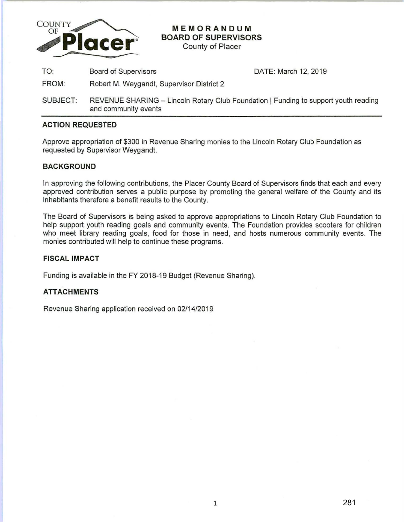

**MEMORANDUM BOARD OF SUPERVISORS** 

County of Placer

TO: Board of Supervisors

DATE: March 12, 2019

- FROM: Robert M. Weygandt, Supervisor District 2
- SUBJECT: REVENUE SHARING Lincoln Rotary Club Foundation | Funding to support youth reading and community events

### **ACTION REQUESTED**

Approve appropriation of \$300 in Revenue Sharing monies to the Lincoln Rotary Club Foundation as requested by Supervisor Weygandt.

#### **BACKGROUND**

In approving the following contributions, the Placer County Board of Supervisors finds that each and every approved contribution serves a public purpose by promoting the general welfare of the County and its inhabitants therefore a benefit results to the County.

The Board of Supervisors is being asked to approve appropriations to Lincoln Rotary Club Foundation to help support youth reading goals and community events. The Foundation provides scooters for children who meet library reading goals, food for those in need, and hosts numerous community events. The monies contributed will help to continue these programs.

### **FISCAL IMPACT**

Funding is available in the FY 2018-19 Budget (Revenue Sharing).

## **ATTACHMENTS**

Revenue Sharing application received on 02/14/2019